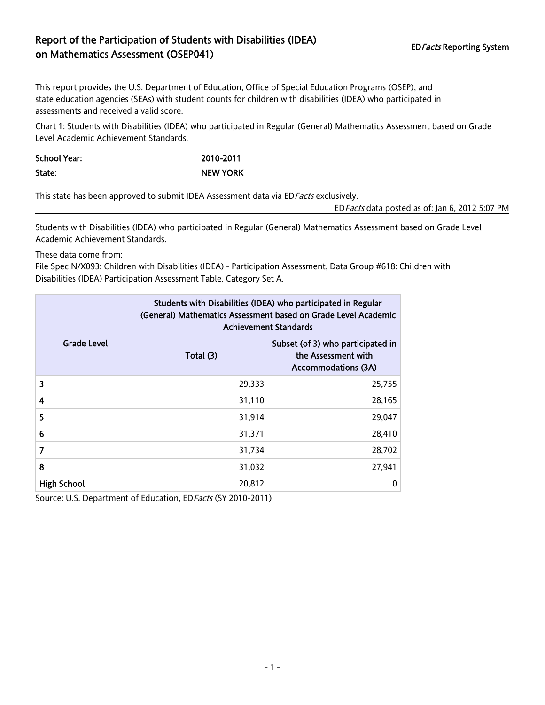## Report of the Participation of Students with Disabilities (IDEA) EDFacts Reporting System<br>
on Mathematics Assessment (OSEP041)

This report provides the U.S. Department of Education, Office of Special Education Programs (OSEP), and state education agencies (SEAs) with student counts for children with disabilities (IDEA) who participated in assessments and received a valid score.

Chart 1: Students with Disabilities (IDEA) who participated in Regular (General) Mathematics Assessment based on Grade Level Academic Achievement Standards.

School Year: 2010-2011 State: NEW YORK

This state has been approved to submit IDEA Assessment data via ED Facts exclusively.

EDFacts data posted as of: Jan 6, 2012 5:07 PM

Students with Disabilities (IDEA) who participated in Regular (General) Mathematics Assessment based on Grade Level Academic Achievement Standards.

These data come from:

File Spec N/X093: Children with Disabilities (IDEA) - Participation Assessment, Data Group #618: Children with Disabilities (IDEA) Participation Assessment Table, Category Set A.

|                    | Students with Disabilities (IDEA) who participated in Regular<br>(General) Mathematics Assessment based on Grade Level Academic<br><b>Achievement Standards</b> |                                                                                        |  |  |
|--------------------|-----------------------------------------------------------------------------------------------------------------------------------------------------------------|----------------------------------------------------------------------------------------|--|--|
| <b>Grade Level</b> | Total (3)                                                                                                                                                       | Subset (of 3) who participated in<br>the Assessment with<br><b>Accommodations (3A)</b> |  |  |
| 3                  | 29,333                                                                                                                                                          | 25,755                                                                                 |  |  |
| 4                  | 31,110                                                                                                                                                          | 28,165                                                                                 |  |  |
| 5                  | 31,914                                                                                                                                                          | 29,047                                                                                 |  |  |
| 6                  | 31,371                                                                                                                                                          | 28,410                                                                                 |  |  |
| 7                  | 31,734                                                                                                                                                          | 28,702                                                                                 |  |  |
| 8                  | 31,032                                                                                                                                                          | 27,941                                                                                 |  |  |
| <b>High School</b> | 20,812                                                                                                                                                          | 0                                                                                      |  |  |

Source: U.S. Department of Education, ED Facts (SY 2010-2011)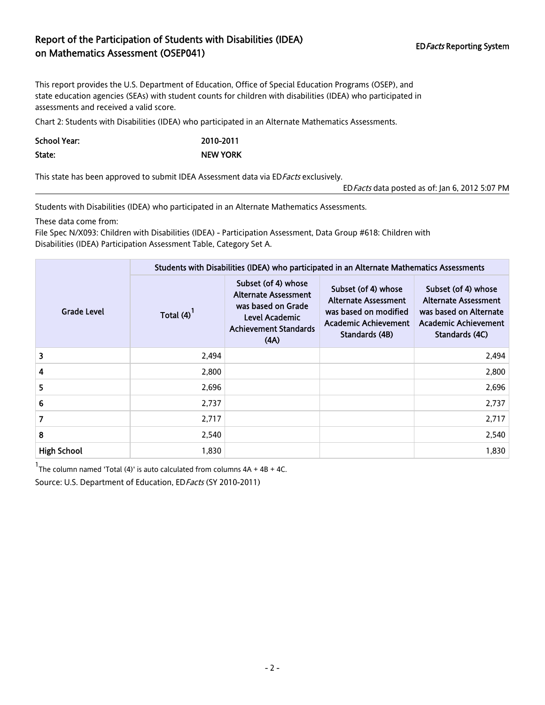## Report of the Participation of Students with Disabilities (IDEA) EDFacts Reporting System<br>
on Mathematics Assessment (OSEP041)

This report provides the U.S. Department of Education, Office of Special Education Programs (OSEP), and state education agencies (SEAs) with student counts for children with disabilities (IDEA) who participated in assessments and received a valid score.

Chart 2: Students with Disabilities (IDEA) who participated in an Alternate Mathematics Assessments.

School Year: 2010-2011 State: NEW YORK

This state has been approved to submit IDEA Assessment data via ED Facts exclusively.

EDFacts data posted as of: Jan 6, 2012 5:07 PM

Students with Disabilities (IDEA) who participated in an Alternate Mathematics Assessments.

These data come from:

File Spec N/X093: Children with Disabilities (IDEA) - Participation Assessment, Data Group #618: Children with Disabilities (IDEA) Participation Assessment Table, Category Set A.

| <b>Grade Level</b> | Students with Disabilities (IDEA) who participated in an Alternate Mathematics Assessments |                                                                                                                                    |                                                                                                                              |                                                                                                                               |  |  |
|--------------------|--------------------------------------------------------------------------------------------|------------------------------------------------------------------------------------------------------------------------------------|------------------------------------------------------------------------------------------------------------------------------|-------------------------------------------------------------------------------------------------------------------------------|--|--|
|                    | Total $(4)^{1}$                                                                            | Subset (of 4) whose<br><b>Alternate Assessment</b><br>was based on Grade<br>Level Academic<br><b>Achievement Standards</b><br>(AA) | Subset (of 4) whose<br><b>Alternate Assessment</b><br>was based on modified<br><b>Academic Achievement</b><br>Standards (4B) | Subset (of 4) whose<br><b>Alternate Assessment</b><br>was based on Alternate<br><b>Academic Achievement</b><br>Standards (4C) |  |  |
| 3                  | 2,494                                                                                      |                                                                                                                                    |                                                                                                                              | 2,494                                                                                                                         |  |  |
| 4                  | 2,800                                                                                      |                                                                                                                                    |                                                                                                                              | 2,800                                                                                                                         |  |  |
| 5                  | 2,696                                                                                      |                                                                                                                                    |                                                                                                                              | 2,696                                                                                                                         |  |  |
| 6                  | 2,737                                                                                      |                                                                                                                                    |                                                                                                                              | 2,737                                                                                                                         |  |  |
| 7                  | 2,717                                                                                      |                                                                                                                                    |                                                                                                                              | 2,717                                                                                                                         |  |  |
| 8                  | 2,540                                                                                      |                                                                                                                                    |                                                                                                                              | 2,540                                                                                                                         |  |  |
| <b>High School</b> | 1,830                                                                                      |                                                                                                                                    |                                                                                                                              | 1,830                                                                                                                         |  |  |

 $1$ The column named 'Total (4)' is auto calculated from columns  $4A + 4B + 4C$ .

Source: U.S. Department of Education, ED Facts (SY 2010-2011)